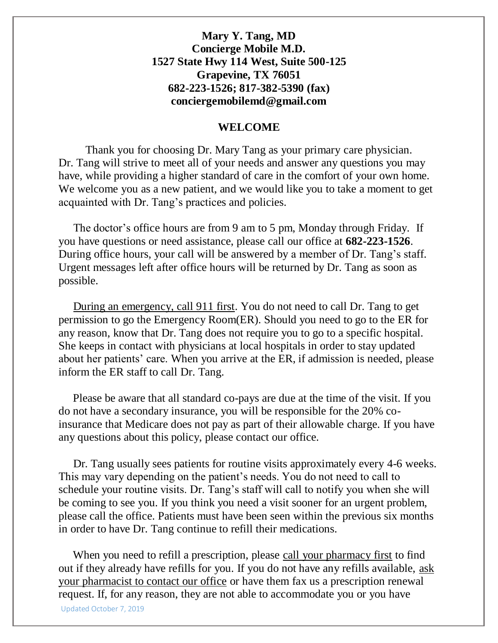#### **WELCOME**

Thank you for choosing Dr. Mary Tang as your primary care physician. Dr. Tang will strive to meet all of your needs and answer any questions you may have, while providing a higher standard of care in the comfort of your own home. We welcome you as a new patient, and we would like you to take a moment to get acquainted with Dr. Tang's practices and policies.

 The doctor's office hours are from 9 am to 5 pm, Monday through Friday. If you have questions or need assistance, please call our office at **682-223-1526**. During office hours, your call will be answered by a member of Dr. Tang's staff. Urgent messages left after office hours will be returned by Dr. Tang as soon as possible.

 During an emergency, call 911 first. You do not need to call Dr. Tang to get permission to go the Emergency Room(ER). Should you need to go to the ER for any reason, know that Dr. Tang does not require you to go to a specific hospital. She keeps in contact with physicians at local hospitals in order to stay updated about her patients' care. When you arrive at the ER, if admission is needed, please inform the ER staff to call Dr. Tang.

 Please be aware that all standard co-pays are due at the time of the visit. If you do not have a secondary insurance, you will be responsible for the 20% coinsurance that Medicare does not pay as part of their allowable charge. If you have any questions about this policy, please contact our office.

 Dr. Tang usually sees patients for routine visits approximately every 4-6 weeks. This may vary depending on the patient's needs. You do not need to call to schedule your routine visits. Dr. Tang's staff will call to notify you when she will be coming to see you. If you think you need a visit sooner for an urgent problem, please call the office. Patients must have been seen within the previous six months in order to have Dr. Tang continue to refill their medications.

Updated October 7, 2019 When you need to refill a prescription, please call your pharmacy first to find out if they already have refills for you. If you do not have any refills available, ask your pharmacist to contact our office or have them fax us a prescription renewal request. If, for any reason, they are not able to accommodate you or you have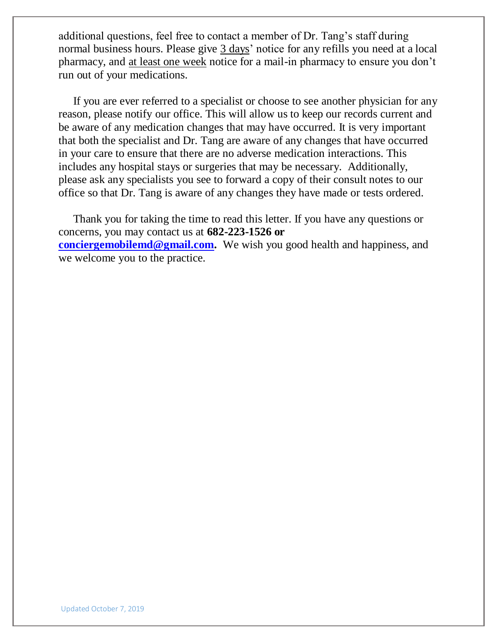additional questions, feel free to contact a member of Dr. Tang's staff during normal business hours. Please give 3 days' notice for any refills you need at a local pharmacy, and at least one week notice for a mail-in pharmacy to ensure you don't run out of your medications.

 If you are ever referred to a specialist or choose to see another physician for any reason, please notify our office. This will allow us to keep our records current and be aware of any medication changes that may have occurred. It is very important that both the specialist and Dr. Tang are aware of any changes that have occurred in your care to ensure that there are no adverse medication interactions. This includes any hospital stays or surgeries that may be necessary. Additionally, please ask any specialists you see to forward a copy of their consult notes to our office so that Dr. Tang is aware of any changes they have made or tests ordered.

 Thank you for taking the time to read this letter. If you have any questions or concerns, you may contact us at **682-223-1526 or [conciergemobilemd@gmail.com.](mailto:conciergemobilemd@gmail.com)** We wish you good health and happiness, and we welcome you to the practice.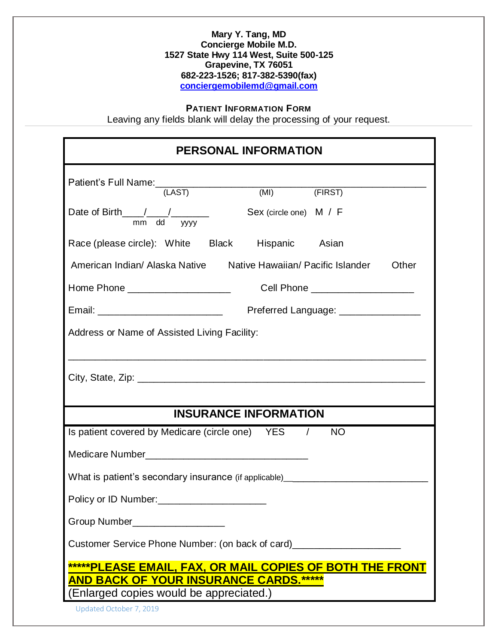#### **PATIENT INFORMATION FORM**

Leaving any fields blank will delay the processing of your request.

| <b>PERSONAL INFORMATION</b>                                                                                                                          |                        |                                     |  |  |  |  |
|------------------------------------------------------------------------------------------------------------------------------------------------------|------------------------|-------------------------------------|--|--|--|--|
| Patient's Full Name: (LAST) (MI) (FIRST)                                                                                                             |                        |                                     |  |  |  |  |
|                                                                                                                                                      |                        |                                     |  |  |  |  |
| Date of Birth $\frac{1}{\frac{1}{2} + \frac{1}{2}}$ mm dd yyyy                                                                                       | Sex (circle one) M / F |                                     |  |  |  |  |
| Race (please circle): White Black Hispanic Asian                                                                                                     |                        |                                     |  |  |  |  |
| American Indian/ Alaska Native Native Hawaiian/ Pacific Islander<br>Other                                                                            |                        |                                     |  |  |  |  |
|                                                                                                                                                      |                        | Cell Phone _____________________    |  |  |  |  |
|                                                                                                                                                      |                        | Preferred Language: _______________ |  |  |  |  |
| Address or Name of Assisted Living Facility:                                                                                                         |                        |                                     |  |  |  |  |
| <b>INSURANCE INFORMATION</b>                                                                                                                         |                        |                                     |  |  |  |  |
| Is patient covered by Medicare (circle one) YES / NO                                                                                                 |                        |                                     |  |  |  |  |
|                                                                                                                                                      |                        |                                     |  |  |  |  |
| What is patient's secondary insurance (if applicable)___________________________                                                                     |                        |                                     |  |  |  |  |
|                                                                                                                                                      |                        |                                     |  |  |  |  |
| Group Number__________________                                                                                                                       |                        |                                     |  |  |  |  |
| Customer Service Phone Number: (on back of card)________________                                                                                     |                        |                                     |  |  |  |  |
| *****PLEASE EMAIL, FAX, OR MAIL COPIES OF BOTH THE FRONT<br><u>AND BACK OF YOUR INSURANCE CARDS.*****</u><br>(Enlarged copies would be appreciated.) |                        |                                     |  |  |  |  |
| Updated October 7, 2019                                                                                                                              |                        |                                     |  |  |  |  |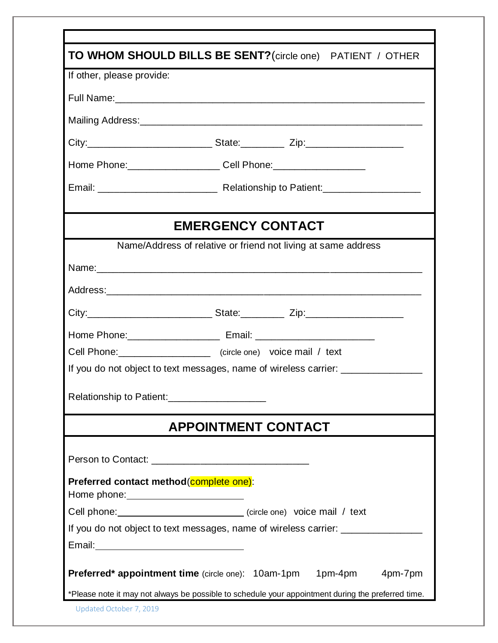| If other, please provide:                                                                                     | TO WHOM SHOULD BILLS BE SENT? (circle one) PATIENT / OTHER                        |
|---------------------------------------------------------------------------------------------------------------|-----------------------------------------------------------------------------------|
|                                                                                                               |                                                                                   |
|                                                                                                               |                                                                                   |
|                                                                                                               |                                                                                   |
|                                                                                                               |                                                                                   |
|                                                                                                               | Home Phone: _______________________ Cell Phone: ________________________________  |
|                                                                                                               |                                                                                   |
|                                                                                                               | <b>EMERGENCY CONTACT</b>                                                          |
|                                                                                                               | Name/Address of relative or friend not living at same address                     |
|                                                                                                               |                                                                                   |
|                                                                                                               |                                                                                   |
|                                                                                                               |                                                                                   |
|                                                                                                               | Home Phone: ________________________________ Email: _____________________________ |
|                                                                                                               | Cell Phone: _____________________ (circle one) voice mail / text                  |
|                                                                                                               | If you do not object to text messages, name of wireless carrier: _______________  |
| Relationship to Patient:____________________                                                                  |                                                                                   |
|                                                                                                               | <b>APPOINTMENT CONTACT</b>                                                        |
|                                                                                                               |                                                                                   |
| Preferred contact method (complete one):<br>Home phone: <u>_______________________________</u>                |                                                                                   |
|                                                                                                               | Cell phone: ______________________________(circle one) voice mail / text          |
|                                                                                                               | If you do not object to text messages, name of wireless carrier: _______________  |
| Email: 2008 2010 2021 2022 2023 2024 2022 2022 2023 2024 2022 2023 2024 2022 2023 2024 2022 2023 2024 2022 20 |                                                                                   |
|                                                                                                               | <b>Preferred* appointment time</b> (circle one): 10am-1pm 1pm-4pm<br>4pm-7pm      |
|                                                                                                               |                                                                                   |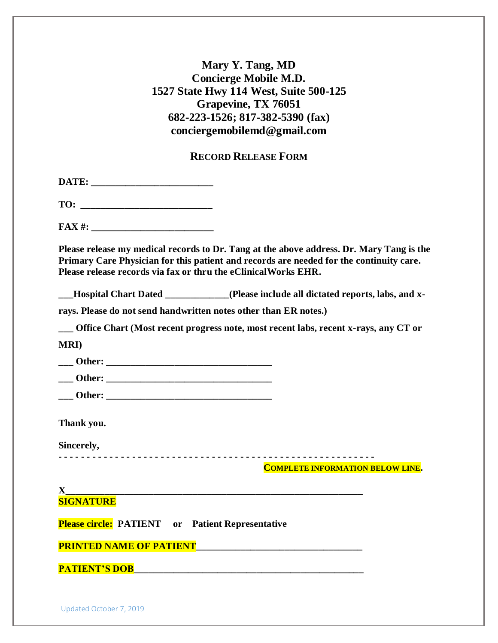#### **RECORD RELEASE FORM**

**DATE: \_\_\_\_\_\_\_\_\_\_\_\_\_\_\_\_\_\_\_\_\_\_\_\_\_**

**TO: \_\_\_\_\_\_\_\_\_\_\_\_\_\_\_\_\_\_\_\_\_\_\_\_\_\_\_**

**FAX #:**  $\blacksquare$ 

**Please release my medical records to Dr. Tang at the above address. Dr. Mary Tang is the Primary Care Physician for this patient and records are needed for the continuity care. Please release records via fax or thru the eClinicalWorks EHR.** 

**\_\_\_Hospital Chart Dated \_\_\_\_\_\_\_\_\_\_\_\_\_(Please include all dictated reports, labs, and x-**

**rays. Please do not send handwritten notes other than ER notes.)**

**\_\_\_ Office Chart (Most recent progress note, most recent labs, recent x-rays, any CT or** 

**MRI)** 

| Other: |  |  |  |  |
|--------|--|--|--|--|
|        |  |  |  |  |

**\_\_\_ Other: \_\_\_\_\_\_\_\_\_\_\_\_\_\_\_\_\_\_\_\_\_\_\_\_\_\_\_\_\_\_\_\_\_\_ \_\_\_ Other: \_\_\_\_\_\_\_\_\_\_\_\_\_\_\_\_\_\_\_\_\_\_\_\_\_\_\_\_\_\_\_\_\_\_**

**Thank you.**

**Sincerely,** 

**- - - - - - - - - - - - - - - - - - - - - - - - - - - - - - - - - - - - - - - - - - - - - - - - - - - - - - - -**

**COMPLETE INFORMATION BELOW LINE.**

**X\_\_\_\_\_\_\_\_\_\_\_\_\_\_\_\_\_\_\_\_\_\_\_\_\_\_\_\_\_\_\_\_\_\_\_\_\_\_\_\_\_\_\_\_\_\_\_\_\_\_\_\_\_\_\_\_\_\_\_\_\_ SIGNATURE**

**Please circle: PATIENT or Patient Representative**

**PRINTED NAME OF PATIENT\_\_\_\_\_\_\_\_\_\_\_\_\_\_\_\_\_\_\_\_\_\_\_\_\_\_\_\_\_\_\_\_\_\_**

**PATIENT'S DOB**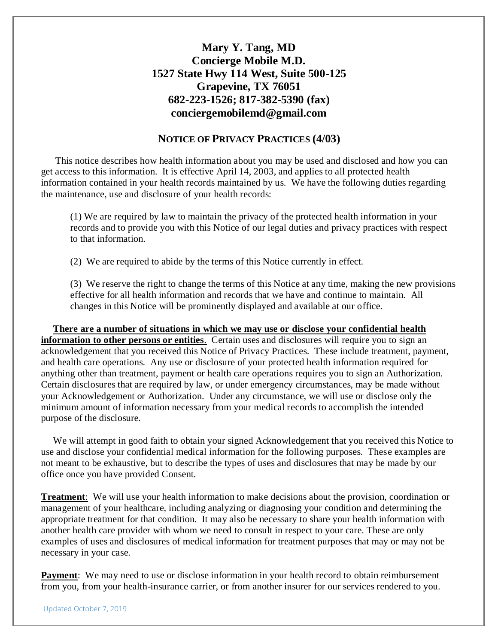#### **NOTICE OF PRIVACY PRACTICES (4/03)**

 This notice describes how health information about you may be used and disclosed and how you can get access to this information. It is effective April 14, 2003, and applies to all protected health information contained in your health records maintained by us. We have the following duties regarding the maintenance, use and disclosure of your health records:

(1) We are required by law to maintain the privacy of the protected health information in your records and to provide you with this Notice of our legal duties and privacy practices with respect to that information.

(2) We are required to abide by the terms of this Notice currently in effect.

(3) We reserve the right to change the terms of this Notice at any time, making the new provisions effective for all health information and records that we have and continue to maintain. All changes in this Notice will be prominently displayed and available at our office.

 **There are a number of situations in which we may use or disclose your confidential health information to other persons or entities**. Certain uses and disclosures will require you to sign an acknowledgement that you received this Notice of Privacy Practices. These include treatment, payment, and health care operations. Any use or disclosure of your protected health information required for anything other than treatment, payment or health care operations requires you to sign an Authorization. Certain disclosures that are required by law, or under emergency circumstances, may be made without your Acknowledgement or Authorization. Under any circumstance, we will use or disclose only the minimum amount of information necessary from your medical records to accomplish the intended purpose of the disclosure.

 We will attempt in good faith to obtain your signed Acknowledgement that you received this Notice to use and disclose your confidential medical information for the following purposes. These examples are not meant to be exhaustive, but to describe the types of uses and disclosures that may be made by our office once you have provided Consent.

**Treatment**: We will use your health information to make decisions about the provision, coordination or management of your healthcare, including analyzing or diagnosing your condition and determining the appropriate treatment for that condition. It may also be necessary to share your health information with another health care provider with whom we need to consult in respect to your care. These are only examples of uses and disclosures of medical information for treatment purposes that may or may not be necessary in your case.

**Payment:** We may need to use or disclose information in your health record to obtain reimbursement from you, from your health-insurance carrier, or from another insurer for our services rendered to you.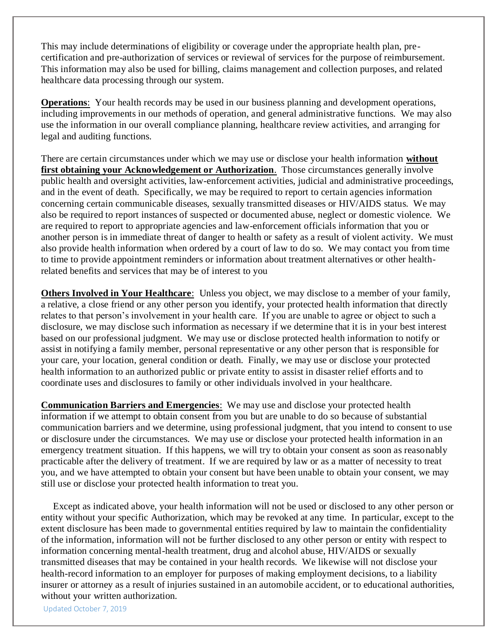This may include determinations of eligibility or coverage under the appropriate health plan, precertification and pre-authorization of services or reviewal of services for the purpose of reimbursement. This information may also be used for billing, claims management and collection purposes, and related healthcare data processing through our system.

**Operations**: Your health records may be used in our business planning and development operations, including improvements in our methods of operation, and general administrative functions. We may also use the information in our overall compliance planning, healthcare review activities, and arranging for legal and auditing functions.

There are certain circumstances under which we may use or disclose your health information **without first obtaining your Acknowledgement or Authorization**. Those circumstances generally involve public health and oversight activities, law-enforcement activities, judicial and administrative proceedings, and in the event of death. Specifically, we may be required to report to certain agencies information concerning certain communicable diseases, sexually transmitted diseases or HIV/AIDS status. We may also be required to report instances of suspected or documented abuse, neglect or domestic violence. We are required to report to appropriate agencies and law-enforcement officials information that you or another person is in immediate threat of danger to health or safety as a result of violent activity. We must also provide health information when ordered by a court of law to do so. We may contact you from time to time to provide appointment reminders or information about treatment alternatives or other healthrelated benefits and services that may be of interest to you

**Others Involved in Your Healthcare**: Unless you object, we may disclose to a member of your family, a relative, a close friend or any other person you identify, your protected health information that directly relates to that person's involvement in your health care. If you are unable to agree or object to such a disclosure, we may disclose such information as necessary if we determine that it is in your best interest based on our professional judgment. We may use or disclose protected health information to notify or assist in notifying a family member, personal representative or any other person that is responsible for your care, your location, general condition or death. Finally, we may use or disclose your protected health information to an authorized public or private entity to assist in disaster relief efforts and to coordinate uses and disclosures to family or other individuals involved in your healthcare.

**Communication Barriers and Emergencies**: We may use and disclose your protected health information if we attempt to obtain consent from you but are unable to do so because of substantial communication barriers and we determine, using professional judgment, that you intend to consent to use or disclosure under the circumstances. We may use or disclose your protected health information in an emergency treatment situation. If this happens, we will try to obtain your consent as soon as reasonably practicable after the delivery of treatment. If we are required by law or as a matter of necessity to treat you, and we have attempted to obtain your consent but have been unable to obtain your consent, we may still use or disclose your protected health information to treat you.

 Except as indicated above, your health information will not be used or disclosed to any other person or entity without your specific Authorization, which may be revoked at any time. In particular, except to the extent disclosure has been made to governmental entities required by law to maintain the confidentiality of the information, information will not be further disclosed to any other person or entity with respect to information concerning mental-health treatment, drug and alcohol abuse, HIV/AIDS or sexually transmitted diseases that may be contained in your health records. We likewise will not disclose your health-record information to an employer for purposes of making employment decisions, to a liability insurer or attorney as a result of injuries sustained in an automobile accident, or to educational authorities, without your written authorization.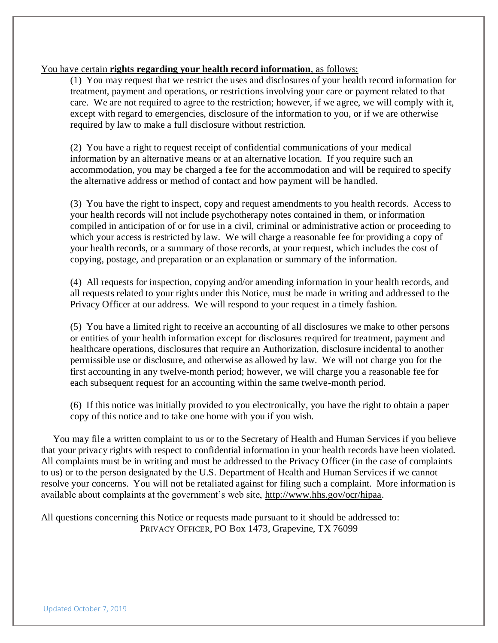#### You have certain **rights regarding your health record information**, as follows:

(1) You may request that we restrict the uses and disclosures of your health record information for treatment, payment and operations, or restrictions involving your care or payment related to that care. We are not required to agree to the restriction; however, if we agree, we will comply with it, except with regard to emergencies, disclosure of the information to you, or if we are otherwise required by law to make a full disclosure without restriction.

(2) You have a right to request receipt of confidential communications of your medical information by an alternative means or at an alternative location. If you require such an accommodation, you may be charged a fee for the accommodation and will be required to specify the alternative address or method of contact and how payment will be handled.

(3) You have the right to inspect, copy and request amendments to you health records. Access to your health records will not include psychotherapy notes contained in them, or information compiled in anticipation of or for use in a civil, criminal or administrative action or proceeding to which your access is restricted by law. We will charge a reasonable fee for providing a copy of your health records, or a summary of those records, at your request, which includes the cost of copying, postage, and preparation or an explanation or summary of the information.

(4) All requests for inspection, copying and/or amending information in your health records, and all requests related to your rights under this Notice, must be made in writing and addressed to the Privacy Officer at our address. We will respond to your request in a timely fashion.

(5) You have a limited right to receive an accounting of all disclosures we make to other persons or entities of your health information except for disclosures required for treatment, payment and healthcare operations, disclosures that require an Authorization, disclosure incidental to another permissible use or disclosure, and otherwise as allowed by law. We will not charge you for the first accounting in any twelve-month period; however, we will charge you a reasonable fee for each subsequent request for an accounting within the same twelve-month period.

(6) If this notice was initially provided to you electronically, you have the right to obtain a paper copy of this notice and to take one home with you if you wish.

 You may file a written complaint to us or to the Secretary of Health and Human Services if you believe that your privacy rights with respect to confidential information in your health records have been violated. All complaints must be in writing and must be addressed to the Privacy Officer (in the case of complaints to us) or to the person designated by the U.S. Department of Health and Human Services if we cannot resolve your concerns. You will not be retaliated against for filing such a complaint. More information is available about complaints at the government's web site, [http://www.hhs.gov/ocr/hipaa.](http://www.hhs.gov/ocr/hipaa)

All questions concerning this Notice or requests made pursuant to it should be addressed to: PRIVACY OFFICER, PO Box 1473, Grapevine, TX 76099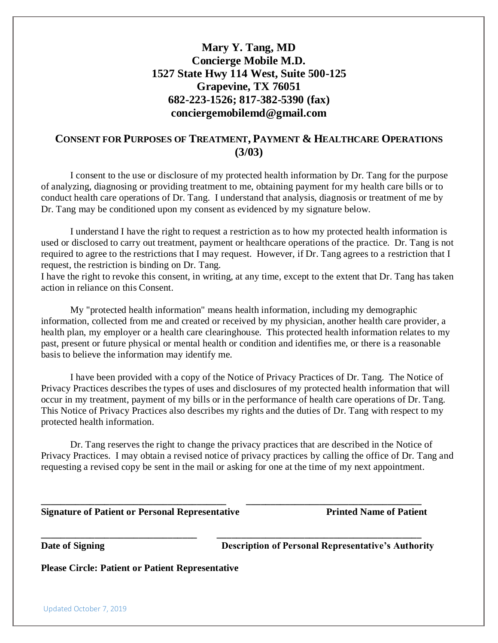## **CONSENT FOR PURPOSES OF TREATMENT, PAYMENT & HEALTHCARE OPERATIONS (3/03)**

I consent to the use or disclosure of my protected health information by Dr. Tang for the purpose of analyzing, diagnosing or providing treatment to me, obtaining payment for my health care bills or to conduct health care operations of Dr. Tang. I understand that analysis, diagnosis or treatment of me by Dr. Tang may be conditioned upon my consent as evidenced by my signature below.

I understand I have the right to request a restriction as to how my protected health information is used or disclosed to carry out treatment, payment or healthcare operations of the practice. Dr. Tang is not required to agree to the restrictions that I may request. However, if Dr. Tang agrees to a restriction that I request, the restriction is binding on Dr. Tang.

I have the right to revoke this consent, in writing, at any time, except to the extent that Dr. Tang has taken action in reliance on this Consent.

My "protected health information" means health information, including my demographic information, collected from me and created or received by my physician, another health care provider, a health plan, my employer or a health care clearinghouse. This protected health information relates to my past, present or future physical or mental health or condition and identifies me, or there is a reasonable basis to believe the information may identify me.

I have been provided with a copy of the Notice of Privacy Practices of Dr. Tang. The Notice of Privacy Practices describes the types of uses and disclosures of my protected health information that will occur in my treatment, payment of my bills or in the performance of health care operations of Dr. Tang. This Notice of Privacy Practices also describes my rights and the duties of Dr. Tang with respect to my protected health information.

Dr. Tang reserves the right to change the privacy practices that are described in the Notice of Privacy Practices. I may obtain a revised notice of privacy practices by calling the office of Dr. Tang and requesting a revised copy be sent in the mail or asking for one at the time of my next appointment.

**\_\_\_\_\_\_\_\_\_\_\_\_\_\_\_\_\_\_\_\_\_\_\_\_\_\_\_\_\_\_\_\_\_\_\_\_\_\_ \_\_\_\_\_\_\_\_\_\_\_\_\_\_\_\_\_\_\_\_\_\_\_\_\_\_\_\_\_\_\_\_\_\_\_\_**

**\_\_\_\_\_\_\_\_\_\_\_\_\_\_\_\_\_\_\_\_\_\_\_\_\_\_\_\_\_\_\_\_ \_\_\_\_\_\_\_\_\_\_\_\_\_\_\_\_\_\_\_\_\_\_\_\_\_\_\_\_\_\_\_\_\_\_\_\_\_\_\_\_\_\_**

|  | <b>Signature of Patient or Personal Representative</b> |
|--|--------------------------------------------------------|
|  |                                                        |
|  |                                                        |
|  |                                                        |

**Printed Name of Patient** 

**Date of Signing Conserverse Description of Personal Representative's Authority** 

**Please Circle: Patient or Patient Representative**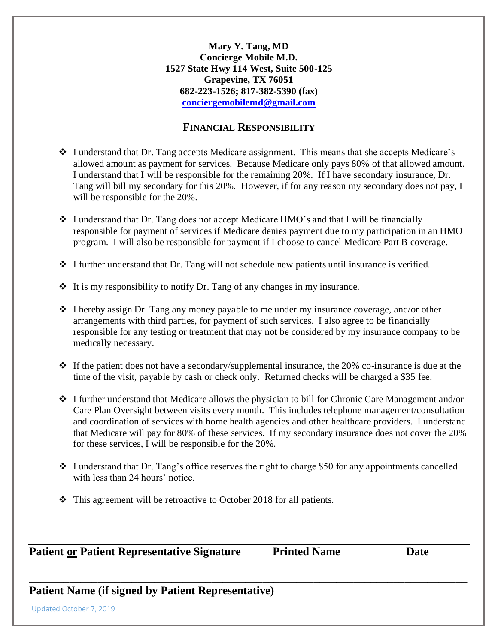#### **FINANCIAL RESPONSIBILITY**

- $\cdot$  I understand that Dr. Tang accepts Medicare assignment. This means that she accepts Medicare's allowed amount as payment for services. Because Medicare only pays 80% of that allowed amount. I understand that I will be responsible for the remaining 20%. If I have secondary insurance, Dr. Tang will bill my secondary for this 20%. However, if for any reason my secondary does not pay, I will be responsible for the 20%.
- $\div$  I understand that Dr. Tang does not accept Medicare HMO's and that I will be financially responsible for payment of services if Medicare denies payment due to my participation in an HMO program. I will also be responsible for payment if I choose to cancel Medicare Part B coverage.

 $\cdot \cdot$  I further understand that Dr. Tang will not schedule new patients until insurance is verified.

- $\triangleleft$  It is my responsibility to notify Dr. Tang of any changes in my insurance.
- I hereby assign Dr. Tang any money payable to me under my insurance coverage, and/or other arrangements with third parties, for payment of such services. I also agree to be financially responsible for any testing or treatment that may not be considered by my insurance company to be medically necessary.
- $\cdot$  If the patient does not have a secondary/supplemental insurance, the 20% co-insurance is due at the time of the visit, payable by cash or check only. Returned checks will be charged a \$35 fee.
- $\cdot$  I further understand that Medicare allows the physician to bill for Chronic Care Management and/or Care Plan Oversight between visits every month. This includes telephone management/consultation and coordination of services with home health agencies and other healthcare providers. I understand that Medicare will pay for 80% of these services. If my secondary insurance does not cover the 20% for these services, I will be responsible for the 20%.
- $\div$  I understand that Dr. Tang's office reserves the right to charge \$50 for any appointments cancelled with less than 24 hours' notice.

\_\_\_\_\_\_\_\_\_\_\_\_\_\_\_\_\_\_\_\_\_\_\_\_\_\_\_\_\_\_\_\_\_\_\_\_\_\_\_\_\_\_\_\_\_\_\_\_\_\_\_\_\_\_\_\_\_\_\_\_\_\_\_\_\_\_\_\_\_\_\_\_\_\_\_\_\_

 $\div$  This agreement will be retroactive to October 2018 for all patients.

**Patient or Patient Representative Signature Printed Name Date Date** 

# **Patient Name (if signed by Patient Representative)**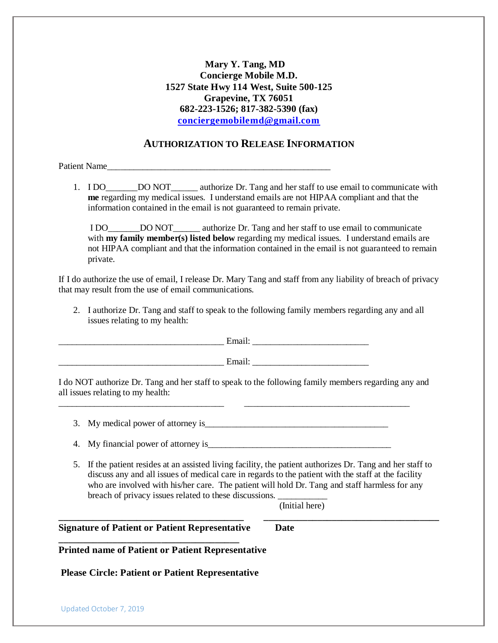#### **AUTHORIZATION TO RELEASE INFORMATION**

Patient Name

1. I DO\_\_\_\_\_\_\_DO NOT\_\_\_\_\_\_ authorize Dr. Tang and her staff to use email to communicate with **me** regarding my medical issues. I understand emails are not HIPAA compliant and that the information contained in the email is not guaranteed to remain private.

I DO\_\_\_\_\_\_\_DO NOT\_\_\_\_\_\_ authorize Dr. Tang and her staff to use email to communicate with **my family member(s) listed below** regarding my medical issues. I understand emails are not HIPAA compliant and that the information contained in the email is not guaranteed to remain private.

If I do authorize the use of email, I release Dr. Mary Tang and staff from any liability of breach of privacy that may result from the use of email communications.

2. I authorize Dr. Tang and staff to speak to the following family members regarding any and all issues relating to my health:

 $Email:$ 

\_\_\_\_\_\_\_\_\_\_\_\_\_\_\_\_\_\_\_\_\_\_\_\_\_\_\_\_\_\_\_\_\_\_\_\_\_ Email: \_\_\_\_\_\_\_\_\_\_\_\_\_\_\_\_\_\_\_\_\_\_\_\_\_\_

I do NOT authorize Dr. Tang and her staff to speak to the following family members regarding any and all issues relating to my health:

3. My medical power of attorney is\_\_\_\_\_\_\_\_\_\_\_\_\_\_\_\_\_\_\_\_\_\_\_\_\_\_\_\_\_\_\_\_\_\_\_\_\_\_\_\_\_

\_\_\_\_\_\_\_\_\_\_\_\_\_\_\_\_\_\_\_\_\_\_\_\_\_\_\_\_\_\_\_\_\_\_\_\_\_ \_\_\_\_\_\_\_\_\_\_\_\_\_\_\_\_\_\_\_\_\_\_\_\_\_\_\_\_\_\_\_\_\_\_\_\_\_

4. My financial power of attorney is

5. If the patient resides at an assisted living facility, the patient authorizes Dr. Tang and her staff to discuss any and all issues of medical care in regards to the patient with the staff at the facility who are involved with his/her care. The patient will hold Dr. Tang and staff harmless for any breach of privacy issues related to these discussions.

**\_\_\_\_\_\_\_\_\_\_\_\_\_\_\_\_\_\_\_\_\_\_\_\_\_\_\_\_\_\_\_\_\_\_\_\_\_\_ \_\_\_\_\_\_\_\_\_\_\_\_\_\_\_\_\_\_\_\_\_\_\_\_\_\_\_\_\_\_\_\_\_\_\_\_**

(Initial here)

**Signature of Patient or Patient Representative Date**

**Printed name of Patient or Patient Representative** 

**\_\_\_\_\_\_\_\_\_\_\_\_\_\_\_\_\_\_\_\_\_\_\_\_\_\_\_\_\_\_\_\_\_\_\_\_\_** 

**Please Circle: Patient or Patient Representative**